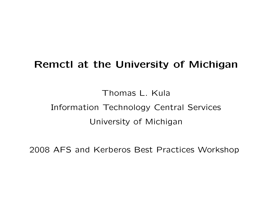# Remctl at the University of Michigan

Thomas L. Kula Information Technology Central Services University of Michigan

2008 AFS and Kerberos Best Practices Workshop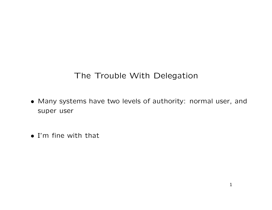#### The Trouble With Delegation

- Many systems have two levels of authority: normal user, and super user
- I'm fine with that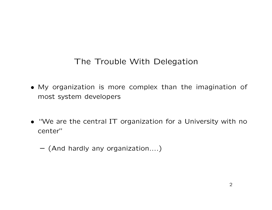#### The Trouble With Delegation

- My organization is more complex than the imagination of most system developers
- "We are the central IT organization for a University with no center"
	- (And hardly any organization....)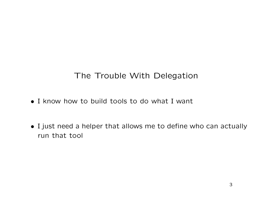#### The Trouble With Delegation

- I know how to build tools to do what I want
- I just need a helper that allows me to define who can actually run that tool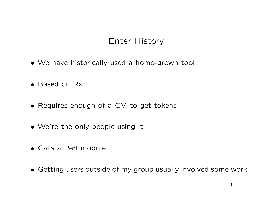### Enter History

- We have historically used a home-grown tool
- Based on Rx
- Requires enough of a CM to get tokens
- We're the only people using it
- Calls a Perl module
- Getting users outside of my group usually involved some work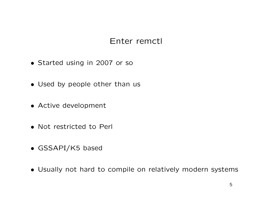#### Enter remctl

- Started using in 2007 or so
- Used by people other than us
- Active development
- Not restricted to Perl
- GSSAPI/K5 based
- Usually not hard to compile on relatively modern systems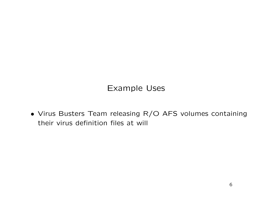#### Example Uses

• Virus Busters Team releasing R/O AFS volumes containing their virus definition files at will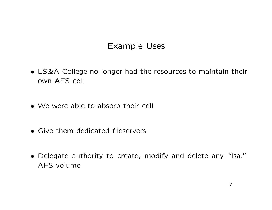#### Example Uses

- LS&A College no longer had the resources to maintain their own AFS cell
- We were able to absorb their cell
- Give them dedicated fileservers
- Delegate authority to create, modify and delete any "lsa." AFS volume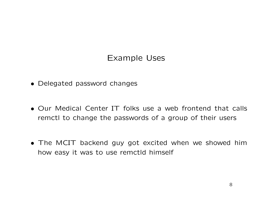#### Example Uses

- Delegated password changes
- Our Medical Center IT folks use a web frontend that calls remctl to change the passwords of a group of their users
- The MCIT backend guy got excited when we showed him how easy it was to use remctld himself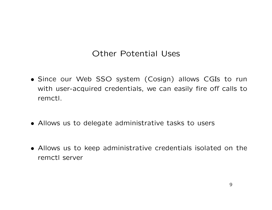#### Other Potential Uses

- Since our Web SSO system (Cosign) allows CGIs to run with user-acquired credentials, we can easily fire off calls to remctl.
- Allows us to delegate administrative tasks to users
- Allows us to keep administrative credentials isolated on the remctl server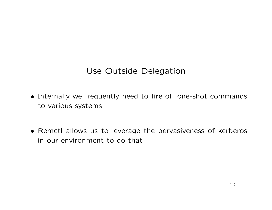#### Use Outside Delegation

- Internally we frequently need to fire off one-shot commands to various systems
- Remctl allows us to leverage the pervasiveness of kerberos in our environment to do that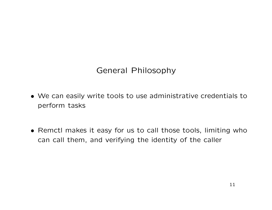#### General Philosophy

- We can easily write tools to use administrative credentials to perform tasks
- Remctl makes it easy for us to call those tools, limiting who can call them, and verifying the identity of the caller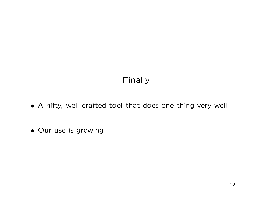### Finally

- A nifty, well-crafted tool that does one thing very well
- Our use is growing